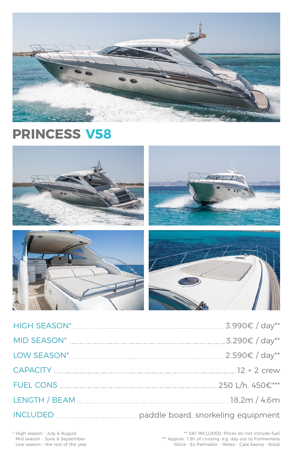| <b>HIGH SEASON*</b> | .5.990€ / day**  |  |
|---------------------|------------------|--|
| MID SEASON*         | . 3.290€ / day** |  |



CAPACITY 12 + 2 crew

FUEL CONS 250 L/h, 450€\*\*\*

LENGTH / BEAM 18,2m / 4,6m

# INCLUDED paddle board, snorkeling equipment

\*\* VAT INCLUDED. Prices do not include fuel \*\*\* Approx. 1.5h of cruising, e.g. day out to Formentera (Ibiza - Es Palmador - Illetes - Cala Saona - Ibiza)

\* High season - July & August Mid season - June & September Low season - the rest of the year



# **PRINCESS V58**